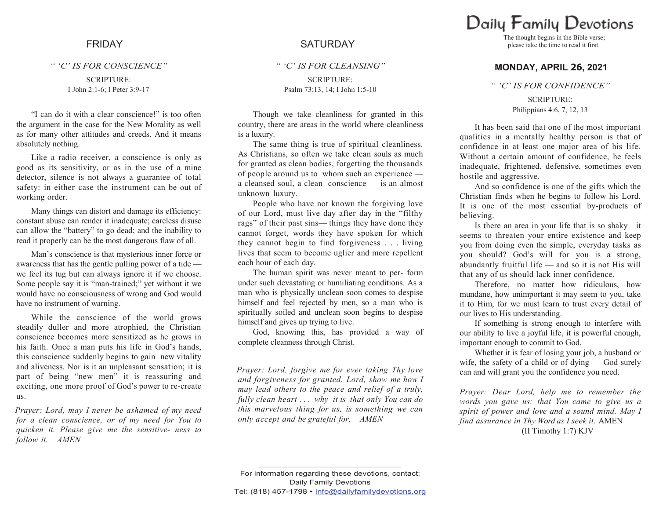*" "C" IS FOR CONSCIENCE"*

SCRIPTURE: I John 2:1-6; I Peter 3:9-17

"I can do it with a clear conscience!" is too often the argument in the case for the New Morality as well as for many other attitudes and creeds. And it means absolutely nothing.

Like a radio receiver, a conscience is only as good as its sensitivity, or as in the use of a mine detector, silence is not always a guarantee of total safety: in either case the instrument can be out of working order.

Many things can distort and damage its efficiency: constant abuse can render it inadequate; careless disuse can allow the "battery" to go dead; and the inability to read it properly can be the most dangerous flaw of all.

Man's conscience is that mysterious inner force or awareness that has the gentle pulling power of a tide we feel its tug but can always ignore it if we choose. Some people say it is "man-trained;" yet without it we would have no consciousness of wrong and God would have no instrument of warning.

While the conscience of the world grows steadily duller and more atrophied, the Christian conscience becomes more sensitized as he grows in his faith. Once a man puts his life in God's hands, this conscience suddenly begins to gain new vitality and aliveness. Nor is it an unpleasant sensation; it is part of being "new men" it is reassuring and exciting, one more proof of God's power to re-create us.

*Prayer: Lord, may I never be ashamed of my need for a clean conscience, or of my need for You to quicken it. Please give me the sensitive- ness to follow it. AMEN*

# FRIDAY SATURDAY

*" "C" IS FOR CLEANSING"*

SCRIPTURE: Psalm 73:13, 14; I John 1:5-10

Though we take cleanliness for granted in this country, there are areas in the world where cleanliness is a luxury.

The same thing is true of spiritual cleanliness. As Christians, so often we take clean souls as much for granted as clean bodies, forgetting the thousands of people around us to whom such an experience a cleansed soul, a clean conscience — is an almost unknown luxury.

People who have not known the forgiving love of our Lord, must live day after day in the "filthy rags" of their past sins— things they have done they cannot forget, words they have spoken for which they cannot begin to find forgiveness . . . living lives that seem to become uglier and more repellent each hour of each day.

The human spirit was never meant to per- form under such devastating or humiliating conditions. As a man who is physically unclean soon comes to despise himself and feel rejected by men, so a man who is spiritually soiled and unclean soon begins to despise himself and gives up trying to live.

God, knowing this, has provided a way of complete cleanness through Christ.

*Prayer: Lord, forgive me for ever taking Thy love and forgiveness for granted. Lord, show me how I may lead others to the peace and relief of a truly, fully clean heart . . . why it is that only You can do this marvelous thing for us, is something we can only accept and be grateful for. AMEN*

Daily Family Devotions

The thought begins in the Bible verse; please take the time to read it first.

### **MONDAY, APRIL 26, 2021**

*" "C" IS FOR CONFIDENCE"*

SCRIPTURE: Philippians 4:6, 7, 12, 13

It has been said that one of the most important qualities in a mentally healthy person is that of confidence in at least one major area of his life. Without a certain amount of confidence, he feels inadequate, frightened, defensive, sometimes even hostile and aggressive.

And so confidence is one of the gifts which the Christian finds when he begins to follow his Lord. It is one of the most essential by-products of believing.

Is there an area in your life that is so shaky it seems to threaten your entire existence and keep you from doing even the simple, everyday tasks as you should? God's will for you is a strong, abundantly fruitful life — and so it is not His will that any of us should lack inner confidence.

Therefore, no matter how ridiculous, how mundane, how unimportant it may seem to you, take it to Him, for we must learn to trust every detail of our lives to His understanding.

If something is strong enough to interfere with our ability to live a joyful life, it is powerful enough, important enough to commit to God.

Whether it is fear of losing your job, a husband or wife, the safety of a child or of dying — God surely can and will grant you the confidence you need.

*Prayer: Dear Lord, help me to remember the words you gave us: that You came to give us a spirit of power and love and a sound mind. May I find assurance in Thy Word as I seek it.* AMEN (II Timothy 1:7) KJV

**\_\_\_\_\_\_\_\_\_\_\_\_\_\_\_\_\_\_\_\_\_\_\_\_\_\_\_\_\_\_\_\_\_\_\_\_\_\_\_\_\_\_\_\_**